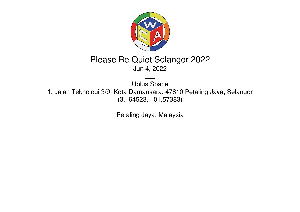

## Please Be Quiet Selangor 2022 Jun 4, 2022

Uplus Space 1, Jalan Teknologi 3/9, Kota Damansara, 47810 Petaling Jaya, Selangor (3.164523, [101.57383](https://www.google.com/maps/place/3.164523,101.57383))

Petaling Jaya, Malaysia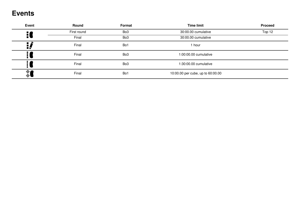### **Events**

| Event            | <b>Round</b> | <b>Format</b>   | <b>Time limit</b>                 | <b>Proceed</b> |
|------------------|--------------|-----------------|-----------------------------------|----------------|
| $\frac{1}{2}$    | First round  | Bo <sub>3</sub> | 30:00.00 cumulative               | Top 12         |
|                  | Final        | Bo <sub>3</sub> | 30:00.00 cumulative               |                |
| H.               | Final        | Bo1             | 1 hour                            |                |
|                  | Final        | Bo <sub>3</sub> | 1:00:00.00 cumulative             |                |
| $\blacksquare$   | Final        | Bo <sub>3</sub> | 1:30:00.00 cumulative             |                |
| $\frac{1}{\phi}$ | Final        | Bo1             | 10:00.00 per cube, up to 60:00.00 |                |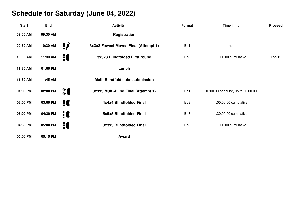# **Schedule for Saturday (June 04, 2022)**

| <b>Start</b> | <b>End</b> | <b>Activity</b>                             | Format          | <b>Time limit</b>                 | <b>Proceed</b> |
|--------------|------------|---------------------------------------------|-----------------|-----------------------------------|----------------|
| 09:00 AM     | 09:30 AM   | Registration                                |                 |                                   |                |
| 09:30 AM     | 10:30 AM   | ij,<br>3x3x3 Fewest Moves Final (Attempt 1) | Bo1             | 1 hour                            |                |
| 10:30 AM     | 11:30 AM   | 10<br>3x3x3 Blindfolded First round         | Bo <sub>3</sub> | 30:00.00 cumulative               | Top 12         |
| 11:30 AM     | 01:00 PM   | Lunch                                       |                 |                                   |                |
| 11:30 AM     | 11:45 AM   | Multi Blindfold cube submission             |                 |                                   |                |
| 01:00 PM     | 02:00 PM   | ै<br>3x3x3 Multi-Blind Final (Attempt 1)    | Bo1             | 10:00.00 per cube, up to 60:00.00 |                |
| 02:00 PM     | 03:00 PM   | <b>E</b><br>4x4x4 Blindfolded Final         | Bo <sub>3</sub> | 1:00:00.00 cumulative             |                |
| 03:00 PM     | 04:30 PM   | iC<br>5x5x5 Blindfolded Final               | Bo <sub>3</sub> | 1:30:00.00 cumulative             |                |
| 04:30 PM     | 05:00 PM   | H<br>3x3x3 Blindfolded Final                | Bo <sub>3</sub> | 30:00.00 cumulative               |                |
| 05:00 PM     | 05:15 PM   | Award                                       |                 |                                   |                |